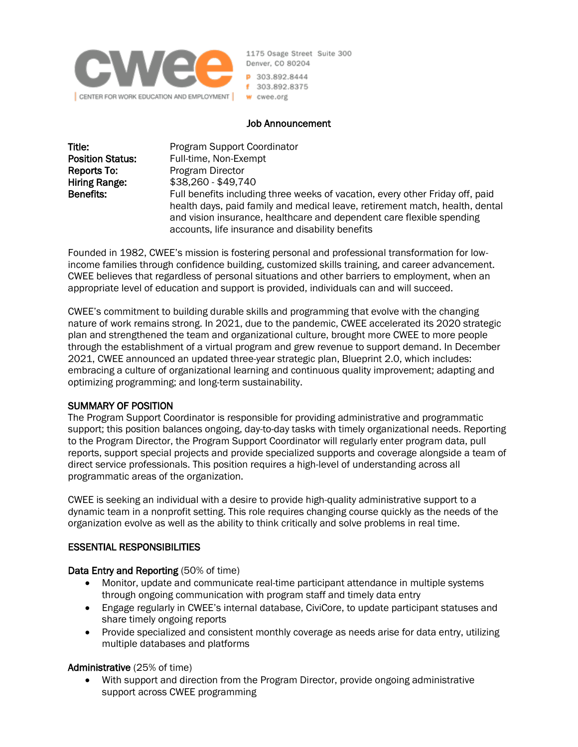

1175 Osage Street Suite 300 Denver, CO 80204 P 303.892.8444 f 303.892.8375

### Job Announcement

| Title:                  | Program Support Coordinator                                                   |
|-------------------------|-------------------------------------------------------------------------------|
| <b>Position Status:</b> | Full-time, Non-Exempt                                                         |
| Reports To:             | Program Director                                                              |
| Hiring Range:           | \$38,260 - \$49,740                                                           |
| Benefits:               | Full benefits including three weeks of vacation, every other Friday off, paid |
|                         | health days, paid family and medical leave, retirement match, health, dental  |
|                         | and vision insurance, healthcare and dependent care flexible spending         |
|                         | accounts, life insurance and disability benefits                              |

Founded in 1982, CWEE's mission is fostering personal and professional transformation for lowincome families through confidence building, customized skills training, and career advancement. CWEE believes that regardless of personal situations and other barriers to employment, when an appropriate level of education and support is provided, individuals can and will succeed.

CWEE's commitment to building durable skills and programming that evolve with the changing nature of work remains strong. In 2021, due to the pandemic, CWEE accelerated its 2020 strategic plan and strengthened the team and organizational culture, brought more CWEE to more people through the establishment of a virtual program and grew revenue to support demand. In December 2021, CWEE announced an updated three-year strategic plan, Blueprint 2.0, which includes: embracing a culture of organizational learning and continuous quality improvement; adapting and optimizing programming; and long-term sustainability.

### SUMMARY OF POSITION

The Program Support Coordinator is responsible for providing administrative and programmatic support; this position balances ongoing, day-to-day tasks with timely organizational needs. Reporting to the Program Director, the Program Support Coordinator will regularly enter program data, pull reports, support special projects and provide specialized supports and coverage alongside a team of direct service professionals. This position requires a high-level of understanding across all programmatic areas of the organization.

CWEE is seeking an individual with a desire to provide high-quality administrative support to a dynamic team in a nonprofit setting. This role requires changing course quickly as the needs of the organization evolve as well as the ability to think critically and solve problems in real time.

### ESSENTIAL RESPONSIBILITIES

### Data Entry and Reporting (50% of time)

- Monitor, update and communicate real-time participant attendance in multiple systems through ongoing communication with program staff and timely data entry
- Engage regularly in CWEE's internal database, CiviCore, to update participant statuses and share timely ongoing reports
- Provide specialized and consistent monthly coverage as needs arise for data entry, utilizing multiple databases and platforms

### Administrative (25% of time)

• With support and direction from the Program Director, provide ongoing administrative support across CWEE programming